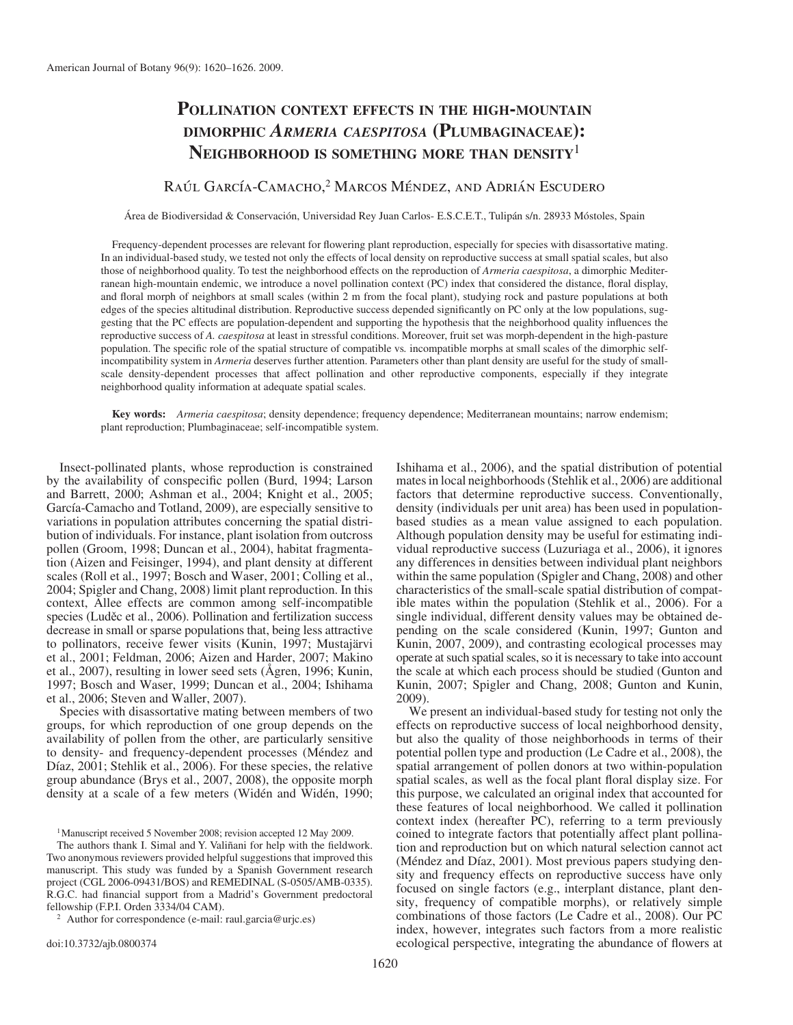# **POLLINATION CONTEXT EFFECTS IN THE HIGH-MOUNTAIN DIMORPHIC** *ARMERIA CAESPITOSA* **(PLUMBAGINACEAE): NEIGHBORHOOD IS SOMETHING MORE THAN DENSITY**<sup>1</sup>

## RAÚL GARCÍA-CAMACHO,<sup>2</sup> MARCOS MÉNDEZ, AND ADRIÁN ESCUDERO

Área de Biodiversidad & Conservación, Universidad Rey Juan Carlos- E.S.C.E.T., Tulipán s/n. 28933 Móstoles, Spain

Frequency-dependent processes are relevant for flowering plant reproduction, especially for species with disassortative mating. In an individual-based study, we tested not only the effects of local density on reproductive success at small spatial scales, but also those of neighborhood quality. To test the neighborhood effects on the reproduction of *Armeria caespitosa* , a dimorphic Mediterranean high-mountain endemic, we introduce a novel pollination context (PC) index that considered the distance, floral display, and floral morph of neighbors at small scales (within 2 m from the focal plant), studying rock and pasture populations at both edges of the species altitudinal distribution. Reproductive success depended significantly on PC only at the low populations, suggesting that the PC effects are population-dependent and supporting the hypothesis that the neighborhood quality influences the reproductive success of *A. caespitosa* at least in stressful conditions. Moreover, fruit set was morph-dependent in the high-pasture population. The specific role of the spatial structure of compatible vs. incompatible morphs at small scales of the dimorphic selfincompatibility system in *Armeria* deserves further attention. Parameters other than plant density are useful for the study of smallscale density-dependent processes that affect pollination and other reproductive components, especially if they integrate neighborhood quality information at adequate spatial scales.

 **Key words:** *Armeria caespitosa* ; density dependence; frequency dependence; Mediterranean mountains; narrow endemism; plant reproduction; Plumbaginaceae; self-incompatible system.

 Insect-pollinated plants, whose reproduction is constrained by the availability of conspecific pollen (Burd, 1994; Larson and Barrett, 2000; Ashman et al., 2004; Knight et al., 2005; García-Camacho and Totland, 2009), are especially sensitive to variations in population attributes concerning the spatial distribution of individuals. For instance, plant isolation from outcross pollen (Groom, 1998; Duncan et al., 2004), habitat fragmentation (Aizen and Feisinger, 1994), and plant density at different scales (Roll et al., 1997; Bosch and Waser, 2001; Colling et al., 2004; Spigler and Chang, 2008) limit plant reproduction. In this context, Allee effects are common among self-incompatible species (Luděc et al., 2006). Pollination and fertilization success decrease in small or sparse populations that, being less attractive to pollinators, receive fewer visits (Kunin, 1997; Mustajärvi et al., 2001; Feldman, 2006; Aizen and Harder, 2007; Makino et al., 2007 ), resulting in lower seed sets ( Å gren, 1996; Kunin, 1997; Bosch and Waser, 1999; Duncan et al., 2004; Ishihama et al., 2006; Steven and Waller, 2007).

 Species with disassortative mating between members of two groups, for which reproduction of one group depends on the availability of pollen from the other, are particularly sensitive to density- and frequency-dependent processes (Méndez and Díaz, 2001; Stehlik et al., 2006). For these species, the relative group abundance (Brys et al., 2007, 2008), the opposite morph density at a scale of a few meters (Widén and Widén, 1990;

<sup>1</sup> Manuscript received 5 November 2008; revision accepted 12 May 2009.

The authors thank I. Simal and Y. Valiñani for help with the fieldwork. Two anonymous reviewers provided helpful suggestions that improved this manuscript. This study was funded by a Spanish Government research project (CGL 2006-09431/BOS) and REMEDINAL (S-0505/AMB-0335). R.G.C. had financial support from a Madrid's Government predoctoral fellowship (F.P.I. Orden 3334/04 CAM).

<sup>2</sup> Author for correspondence (e-mail: raul.garcia@urjc.es)

Ishihama et al., 2006), and the spatial distribution of potential mates in local neighborhoods (Stehlik et al., 2006) are additional factors that determine reproductive success. Conventionally, density (individuals per unit area) has been used in populationbased studies as a mean value assigned to each population. Although population density may be useful for estimating individual reproductive success (Luzuriaga et al., 2006), it ignores any differences in densities between individual plant neighbors within the same population (Spigler and Chang, 2008) and other characteristics of the small-scale spatial distribution of compatible mates within the population (Stehlik et al., 2006). For a single individual, different density values may be obtained depending on the scale considered (Kunin, 1997; Gunton and Kunin, 2007, 2009), and contrasting ecological processes may operate at such spatial scales, so it is necessary to take into account the scale at which each process should be studied ( Gunton and Kunin, 2007; Spigler and Chang, 2008; Gunton and Kunin, 2009).

 We present an individual-based study for testing not only the effects on reproductive success of local neighborhood density, but also the quality of those neighborhoods in terms of their potential pollen type and production (Le Cadre et al., 2008), the spatial arrangement of pollen donors at two within-population spatial scales, as well as the focal plant floral display size. For this purpose, we calculated an original index that accounted for these features of local neighborhood. We called it pollination context index (hereafter PC), referring to a term previously coined to integrate factors that potentially affect plant pollination and reproduction but on which natural selection cannot act (Méndez and Díaz, 2001). Most previous papers studying density and frequency effects on reproductive success have only focused on single factors (e.g., interplant distance, plant density, frequency of compatible morphs), or relatively simple combinations of those factors (Le Cadre et al., 2008). Our PC index, however, integrates such factors from a more realistic ecological perspective, integrating the abundance of flowers at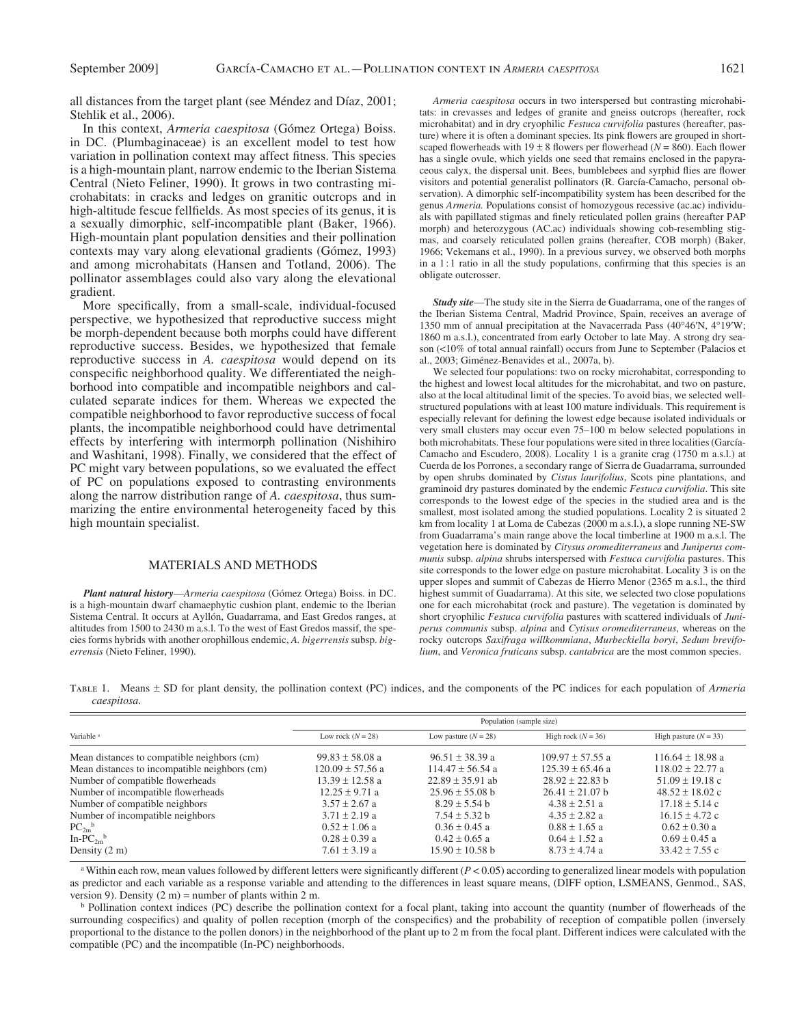all distances from the target plant (see Méndez and Díaz, 2001; Stehlik et al., 2006).

In this context, *Armeria caespitosa* (Gómez Ortega) Boiss. in DC. (Plumbaginaceae) is an excellent model to test how variation in pollination context may affect fitness. This species is a high-mountain plant, narrow endemic to the Iberian Sistema Central (Nieto Feliner, 1990). It grows in two contrasting microhabitats: in cracks and ledges on granitic outcrops and in high-altitude fescue fellfields. As most species of its genus, it is a sexually dimorphic, self-incompatible plant (Baker, 1966). High-mountain plant population densities and their pollination contexts may vary along elevational gradients (Gómez, 1993) and among microhabitats (Hansen and Totland, 2006). The pollinator assemblages could also vary along the elevational gradient.

More specifically, from a small-scale, individual-focused perspective, we hypothesized that reproductive success might be morph-dependent because both morphs could have different reproductive success. Besides, we hypothesized that female reproductive success in *A. caespitosa* would depend on its conspecific neighborhood quality. We differentiated the neighborhood into compatible and incompatible neighbors and calculated separate indices for them. Whereas we expected the compatible neighborhood to favor reproductive success of focal plants, the incompatible neighborhood could have detrimental effects by interfering with intermorph pollination (Nishihiro and Washitani, 1998). Finally, we considered that the effect of PC might vary between populations, so we evaluated the effect of PC on populations exposed to contrasting environments along the narrow distribution range of *A. caespitosa* , thus summarizing the entire environmental heterogeneity faced by this high mountain specialist.

#### MATERIALS AND METHODS

Plant natural history-*Armeria caespitosa* (Gómez Ortega) Boiss. in DC. is a high-mountain dwarf chamaephytic cushion plant, endemic to the Iberian Sistema Central. It occurs at Ayllón, Guadarrama, and East Gredos ranges, at altitudes from 1500 to 2430 m a.s.l. To the west of East Gredos massif, the species forms hybrids with another orophillous endemic, *A. bigerrensis* subsp. *bigerrensis* (Nieto Feliner, 1990).

*Armeria caespitosa* occurs in two interspersed but contrasting microhabitats: in crevasses and ledges of granite and gneiss outcrops (hereafter, rock microhabitat) and in dry cryophilic *Festuca curvifolia* pastures (hereafter, pasture) where it is often a dominant species. Its pink flowers are grouped in shortscaped flowerheads with  $19 \pm 8$  flowers per flowerhead ( $N = 860$ ). Each flower has a single ovule, which yields one seed that remains enclosed in the papyraceous calyx, the dispersal unit. Bees, bumblebees and syrphid flies are flower visitors and potential generalist pollinators (R. García-Camacho, personal observation). A dimorphic self-incompatibility system has been described for the genus *Armeria.* Populations consist of homozygous recessive (ac.ac) individuals with papillated stigmas and finely reticulated pollen grains (hereafter PAP morph) and heterozygous (AC.ac) individuals showing cob-resembling stigmas, and coarsely reticulated pollen grains (hereafter, COB morph) (Baker, 1966; Vekemans et al., 1990). In a previous survey, we observed both morphs in a  $1:1$  ratio in all the study populations, confirming that this species is an obligate outcrosser.

Study site-The study site in the Sierra de Guadarrama, one of the ranges of the Iberian Sistema Central, Madrid Province, Spain, receives an average of 1350 mm of annual precipitation at the Navacerrada Pass (40°46′N, 4°19′W; 1860 m a.s.l.), concentrated from early October to late May. A strong dry season (<10% of total annual rainfall) occurs from June to September (Palacios et al., 2003; Giménez-Benavides et al., 2007a, b).

 We selected four populations: two on rocky microhabitat, corresponding to the highest and lowest local altitudes for the microhabitat, and two on pasture, also at the local altitudinal limit of the species. To avoid bias, we selected wellstructured populations with at least 100 mature individuals. This requirement is especially relevant for defining the lowest edge because isolated individuals or very small clusters may occur even 75–100 m below selected populations in both microhabitats. These four populations were sited in three localities (García-Camacho and Escudero, 2008). Locality 1 is a granite crag (1750 m a.s.l.) at Cuerda de los Porrones, a secondary range of Sierra de Guadarrama, surrounded by open shrubs dominated by *Cistus laurifolius*, Scots pine plantations, and graminoid dry pastures dominated by the endemic *Festuca curvifolia* . This site corresponds to the lowest edge of the species in the studied area and is the smallest, most isolated among the studied populations. Locality 2 is situated 2 km from locality 1 at Loma de Cabezas (2000 m a.s.l.), a slope running NE-SW from Guadarrama's main range above the local timberline at 1900 m a.s.l. The vegetation here is dominated by *Citysus oromediterraneus* and *Juniperus communis* subsp. *alpina* shrubs interspersed with *Festuca curvifolia* pastures. This site corresponds to the lower edge on pasture microhabitat. Locality 3 is on the upper slopes and summit of Cabezas de Hierro Menor (2365 m a.s.l., the third highest summit of Guadarrama). At this site, we selected two close populations one for each microhabitat (rock and pasture). The vegetation is dominated by short cryophilic *Festuca curvifolia* pastures with scattered individuals of *Juniperus communis* subsp. *alpina* and *Cytisus oromediterraneus* , whereas on the rocky outcrops *Saxifraga willkommiana* , *Murbeckiella boryi* , *Sedum brevifolium* , and *Veronica fruticans* subsp. *cantabrica* are the most common species.

 Table 1. Means ± SD for plant density, the pollination context (PC) indices, and the components of the PC indices for each population of *Armeria caespitosa* .

|                                               | Population (sample size) |                        |                      |                         |  |  |  |
|-----------------------------------------------|--------------------------|------------------------|----------------------|-------------------------|--|--|--|
| Variable <sup>a</sup>                         | Low rock $(N = 28)$      | Low pasture $(N = 28)$ | High rock $(N = 36)$ | High pasture $(N = 33)$ |  |  |  |
| Mean distances to compatible neighbors (cm)   | $99.83 \pm 58.08$ a      | $96.51 \pm 38.39$ a    | $109.97 \pm 57.55$ a | $116.64 \pm 18.98$ a    |  |  |  |
| Mean distances to incompatible neighbors (cm) | $120.09 + 57.56$ a       | $114.47 + 56.54$ a     | $125.39 \pm 65.46$ a | $118.02 + 22.77$ a      |  |  |  |
| Number of compatible flowerheads              | $13.39 + 12.58$ a        | $22.89 + 35.91$ ab     | $28.92 + 22.83$ h    | $51.09 + 19.18$ c       |  |  |  |
| Number of incompatible flowerheads            | $12.25 + 9.71$ a         | $25.96 \pm 55.08$ b    | $26.41 + 21.07$ b    | $48.52 + 18.02$ c       |  |  |  |
| Number of compatible neighbors                | $3.57 + 2.67$ a          | $8.29 + 5.54$ b        | $4.38 + 2.51$ a      | $17.18 + 5.14c$         |  |  |  |
| Number of incompatible neighbors              | $3.71 + 2.19$ a          | $7.54 + 5.32$ b        | $4.35 + 2.82$ a      | $16.15 + 4.72c$         |  |  |  |
| $PC_{2m}^{\text{b}}$                          | $0.52 + 1.06$ a          | $0.36 + 0.45$ a        | $0.88 + 1.65$ a      | $0.62 + 0.30 a$         |  |  |  |
| In-P $C_{2m}$ <sup>b</sup>                    | $0.28 \pm 0.39$ a        | $0.42 + 0.65$ a        | $0.64 + 1.52 a$      | $0.69 \pm 0.45$ a       |  |  |  |
| Density $(2 m)$                               | $7.61 \pm 3.19$ a        | $15.90 \pm 10.58$ b    | $8.73 + 4.74$ a      | $33.42 \pm 7.55$ c      |  |  |  |

<sup>a</sup> Within each row, mean values followed by different letters were significantly different (*P* < 0.05) according to generalized linear models with population as predictor and each variable as a response variable and attending to the differences in least square means, (DIFF option, LSMEANS, Genmod., SAS, version 9). Density  $(2 \text{ m})$  = number of plants within 2 m.

<sup>b</sup> Pollination context indices (PC) describe the pollination context for a focal plant, taking into account the quantity (number of flowerheads of the surrounding cospecifics) and quality of pollen reception (morph of the conspecifics) and the probability of reception of compatible pollen (inversely proportional to the distance to the pollen donors) in the neighborhood of the plant up to 2 m from the focal plant. Different indices were calculated with the compatible (PC) and the incompatible (In-PC) neighborhoods.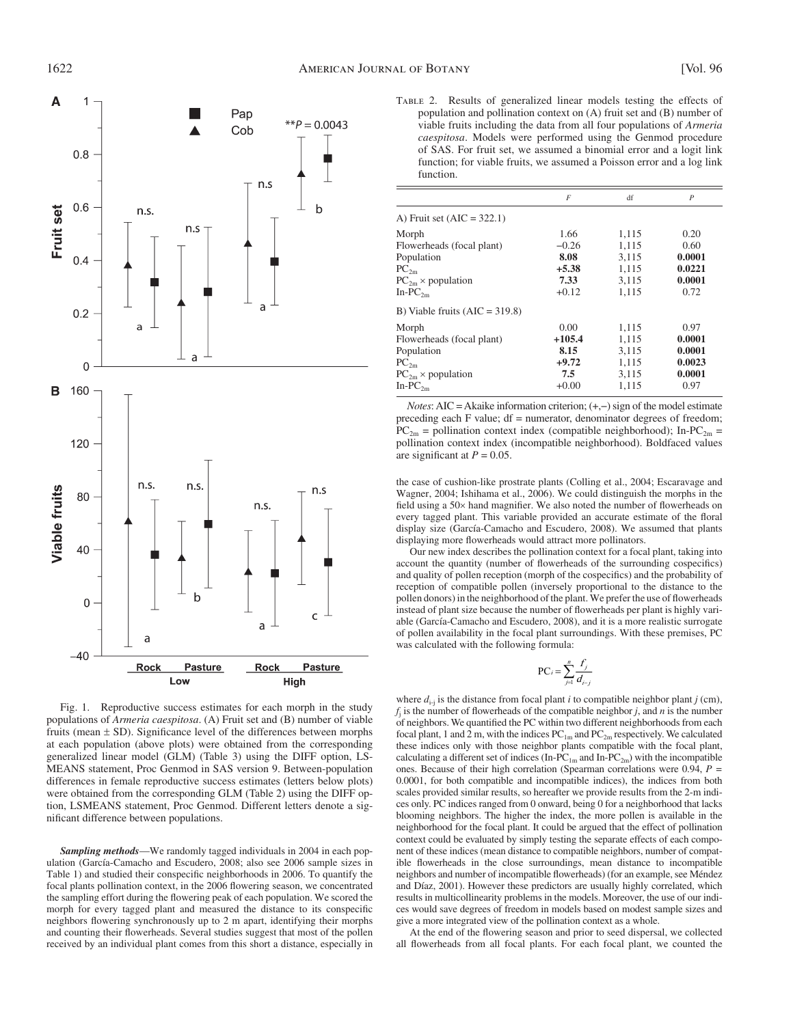

| F        | df    | $\boldsymbol{P}$ |
|----------|-------|------------------|
|          |       |                  |
| 1.66     | 1,115 | 0.20             |
| $-0.26$  | 1,115 | 0.60             |
| 8.08     | 3.115 | 0.0001           |
| $+5.38$  | 1,115 | 0.0221           |
| 7.33     | 3,115 | 0.0001           |
| $+0.12$  | 1,115 | 0.72             |
|          |       |                  |
| 0.00     | 1,115 | 0.97             |
| $+105.4$ | 1,115 | 0.0001           |
| 8.15     | 3,115 | 0.0001           |
| $+9.72$  | 1,115 | 0.0023           |
| 7.5      | 3,115 | 0.0001           |
| $+0.00$  | 1,115 | 0.97             |
|          |       |                  |

*Notes*: AIC = Akaike information criterion; (+,−) sign of the model estimate preceding each F value; df = numerator, denominator degrees of freedom;  $PC<sub>2m</sub>$  = pollination context index (compatible neighborhood); In- $PC<sub>2m</sub>$  = pollination context index (incompatible neighborhood). Boldfaced values are significant at  $P = 0.05$ .

the case of cushion-like prostrate plants (Colling et al., 2004; Escaravage and Wagner, 2004; Ishihama et al., 2006). We could distinguish the morphs in the field using a  $50\times$  hand magnifier. We also noted the number of flowerheads on every tagged plant. This variable provided an accurate estimate of the floral display size (García-Camacho and Escudero, 2008). We assumed that plants displaying more flowerheads would attract more pollinators.

 Our new index describes the pollination context for a focal plant, taking into account the quantity (number of flowerheads of the surrounding cospecifics) and quality of pollen reception (morph of the cospecifics) and the probability of reception of compatible pollen (inversely proportional to the distance to the pollen donors) in the neighborhood of the plant. We prefer the use of flowerheads instead of plant size because the number of flowerheads per plant is highly variable (García-Camacho and Escudero, 2008), and it is a more realistic surrogate of pollen availability in the focal plant surroundings. With these premises, PC was calculated with the following formula:

$$
\text{PC}_{i} = \sum_{j=1}^{n} \frac{f_j}{d_{i-j}}
$$

where  $d_{i-i}$  is the distance from focal plant *i* to compatible neighbor plant *j* (cm),  $f_j$  is the number of flowerheads of the compatible neighbor *j*, and *n* is the number of neighbors. We quantified the PC within two different neighborhoods from each focal plant, 1 and 2 m, with the indices  $PC_{1m}$  and  $PC_{2m}$  respectively. We calculated these indices only with those neighbor plants compatible with the focal plant, calculating a different set of indices (In-PC $_{1m}$  and In-PC $_{2m}$ ) with the incompatible ones. Because of their high correlation (Spearman correlations were 0.94, *P =* 0.0001, for both compatible and incompatible indices), the indices from both scales provided similar results, so hereafter we provide results from the 2-m indices only. PC indices ranged from 0 onward, being 0 for a neighborhood that lacks blooming neighbors. The higher the index, the more pollen is available in the neighborhood for the focal plant. It could be argued that the effect of pollination context could be evaluated by simply testing the separate effects of each component of these indices (mean distance to compatible neighbors, number of compatible flowerheads in the close surroundings, mean distance to incompatible neighbors and number of incompatible flowerheads) (for an example, see Méndez and Díaz, 2001). However these predictors are usually highly correlated, which results in multicollinearity problems in the models. Moreover, the use of our indices would save degrees of freedom in models based on modest sample sizes and give a more integrated view of the pollination context as a whole.

At the end of the flowering season and prior to seed dispersal, we collected all flowerheads from all focal plants. For each focal plant, we counted the



 Fig. 1. Reproductive success estimates for each morph in the study populations of *Armeria caespitosa* . (A) Fruit set and (B) number of viable fruits (mean  $\pm$  SD). Significance level of the differences between morphs at each population (above plots) were obtained from the corresponding generalized linear model (GLM) (Table 3) using the DIFF option, LS-MEANS statement, Proc Genmod in SAS version 9. Between-population differences in female reproductive success estimates (letters below plots) were obtained from the corresponding GLM (Table 2) using the DIFF option, LSMEANS statement, Proc Genmod. Different letters denote a significant difference between populations.

Sampling methods—We randomly tagged individuals in 2004 in each population (García-Camacho and Escudero, 2008; also see 2006 sample sizes in Table 1) and studied their conspecific neighborhoods in 2006. To quantify the focal plants pollination context, in the 2006 flowering season, we concentrated the sampling effort during the flowering peak of each population. We scored the morph for every tagged plant and measured the distance to its conspecific neighbors flowering synchronously up to 2 m apart, identifying their morphs and counting their flowerheads. Several studies suggest that most of the pollen received by an individual plant comes from this short a distance, especially in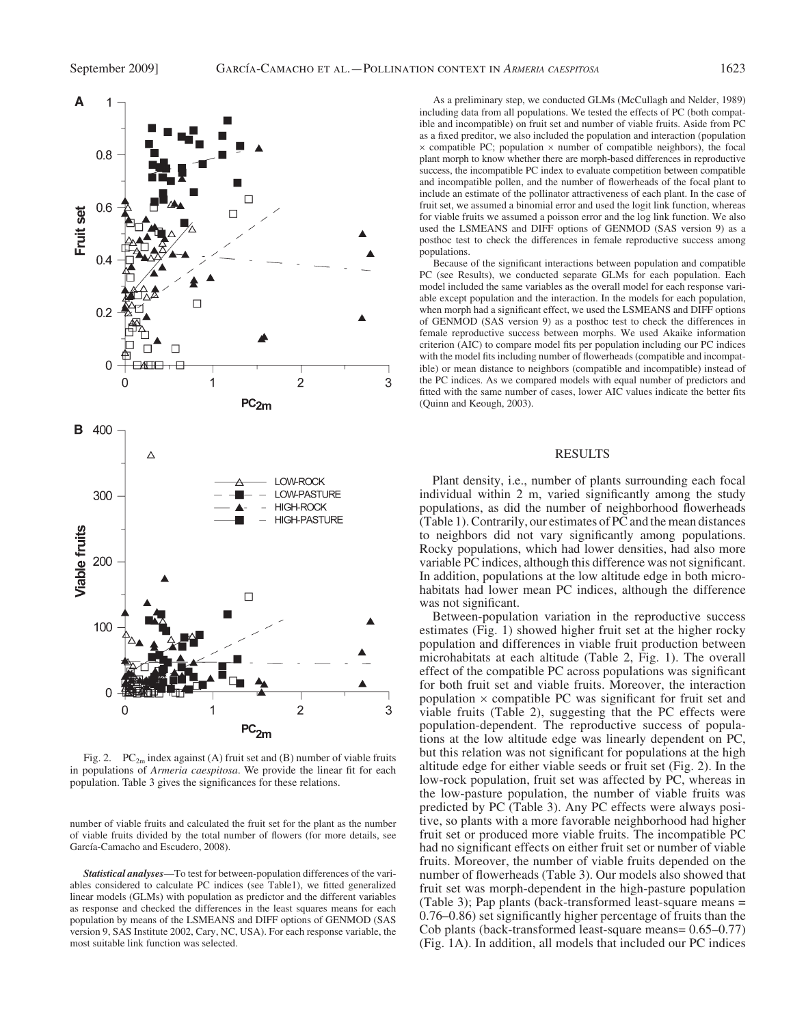

Fig. 2.  $PC_{2m}$  index against (A) fruit set and (B) number of viable fruits in populations of *Armeria caespitosa*. We provide the linear fit for each population. Table 3 gives the significances for these relations.

 number of viable fruits and calculated the fruit set for the plant as the number of viable fruits divided by the total number of flowers (for more details, see García-Camacho and Escudero, 2008).

*Statistical analyses* — To test for between-population differences of the variables considered to calculate PC indices (see Table1), we fitted generalized linear models (GLMs) with population as predictor and the different variables as response and checked the differences in the least squares means for each population by means of the LSMEANS and DIFF options of GENMOD (SAS version 9, SAS Institute 2002, Cary, NC, USA). For each response variable, the most suitable link function was selected.

As a preliminary step, we conducted GLMs (McCullagh and Nelder, 1989) including data from all populations. We tested the effects of PC (both compatible and incompatible) on fruit set and number of viable fruits. Aside from PC as a fi xed preditor, we also included the population and interaction (population  $\times$  compatible PC; population  $\times$  number of compatible neighbors), the focal plant morph to know whether there are morph-based differences in reproductive success, the incompatible PC index to evaluate competition between compatible and incompatible pollen, and the number of flowerheads of the focal plant to include an estimate of the pollinator attractiveness of each plant. In the case of fruit set, we assumed a binomial error and used the logit link function, whereas for viable fruits we assumed a poisson error and the log link function. We also used the LSMEANS and DIFF options of GENMOD (SAS version 9) as a posthoc test to check the differences in female reproductive success among populations.

Because of the significant interactions between population and compatible PC (see Results), we conducted separate GLMs for each population. Each model included the same variables as the overall model for each response variable except population and the interaction. In the models for each population, when morph had a significant effect, we used the LSMEANS and DIFF options of GENMOD (SAS version 9) as a posthoc test to check the differences in female reproductive success between morphs. We used Akaike information criterion (AIC) to compare model fits per population including our PC indices with the model fits including number of flowerheads (compatible and incompatible) or mean distance to neighbors (compatible and incompatible) instead of the PC indices. As we compared models with equal number of predictors and fitted with the same number of cases, lower AIC values indicate the better fits (Quinn and Keough, 2003).

#### RESULTS

 Plant density, i.e., number of plants surrounding each focal individual within 2 m, varied significantly among the study populations, as did the number of neighborhood flowerheads (Table 1). Contrarily, our estimates of PC and the mean distances to neighbors did not vary significantly among populations. Rocky populations, which had lower densities, had also more variable PC indices, although this difference was not significant. In addition, populations at the low altitude edge in both microhabitats had lower mean PC indices, although the difference was not significant.

 Between-population variation in the reproductive success estimates (Fig. 1) showed higher fruit set at the higher rocky population and differences in viable fruit production between microhabitats at each altitude (Table 2, Fig. 1). The overall effect of the compatible PC across populations was significant for both fruit set and viable fruits. Moreover, the interaction population  $\times$  compatible PC was significant for fruit set and viable fruits (Table 2), suggesting that the PC effects were population-dependent. The reproductive success of populations at the low altitude edge was linearly dependent on PC, but this relation was not significant for populations at the high altitude edge for either viable seeds or fruit set (Fig. 2). In the low-rock population, fruit set was affected by PC, whereas in the low-pasture population, the number of viable fruits was predicted by PC (Table 3). Any PC effects were always positive, so plants with a more favorable neighborhood had higher fruit set or produced more viable fruits. The incompatible PC had no significant effects on either fruit set or number of viable fruits. Moreover, the number of viable fruits depended on the number of flowerheads (Table 3). Our models also showed that fruit set was morph-dependent in the high-pasture population (Table 3); Pap plants (back-transformed least-square means  $=$  $0.76 - 0.86$ ) set significantly higher percentage of fruits than the Cob plants (back-transformed least-square means=  $0.65 - 0.77$ ) (Fig. 1A). In addition, all models that included our PC indices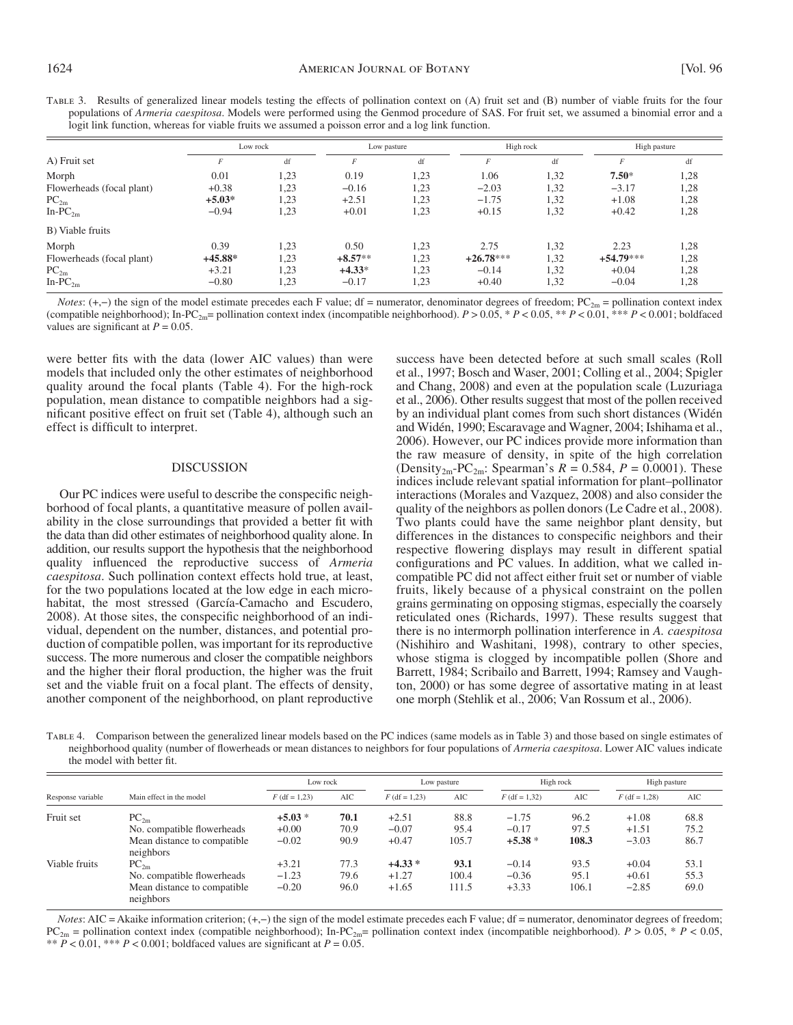| TABLE 3. Results of generalized linear models testing the effects of pollination context on (A) fruit set and (B) number of viable fruits for the four |
|--------------------------------------------------------------------------------------------------------------------------------------------------------|
| populations of <i>Armeria caespitosa</i> . Models were performed using the Genmod procedure of SAS. For fruit set, we assumed a binomial error and a   |
| logit link function, whereas for viable fruits we assumed a poisson error and a log link function.                                                     |

|                           | Low rock  |      | Low pasture |      | High rock   |      | High pasture |      |
|---------------------------|-----------|------|-------------|------|-------------|------|--------------|------|
| A) Fruit set              |           | df   |             | df   |             | df   |              | df   |
| Morph                     | 0.01      | 1,23 | 0.19        | 1,23 | 1.06        | 1,32 | $7.50*$      | 1,28 |
| Flowerheads (focal plant) | $+0.38$   | 1,23 | $-0.16$     | 1,23 | $-2.03$     | 1,32 | $-3.17$      | 1,28 |
| $PC_{2m}$                 | $+5.03*$  | 1,23 | $+2.51$     | 1,23 | $-1.75$     | 1,32 | $+1.08$      | 1,28 |
| In- $PC_{2m}$             | $-0.94$   | 1,23 | $+0.01$     | 1,23 | $+0.15$     | 1,32 | $+0.42$      | 1,28 |
| B) Viable fruits          |           |      |             |      |             |      |              |      |
| Morph                     | 0.39      | 1,23 | 0.50        | 1,23 | 2.75        | 1,32 | 2.23         | 1,28 |
| Flowerheads (focal plant) | $+45.88*$ | 1,23 | $+8.57**$   | 1,23 | $+26.78***$ | 1,32 | $+54.79***$  | 1,28 |
| $PC_{2m}$                 | $+3.21$   | 1,23 | $+4.33*$    | 1,23 | $-0.14$     | 1,32 | $+0.04$      | 1,28 |
| $In-PC_{2m}$              | $-0.80$   | 1,23 | $-0.17$     | 1,23 | $+0.40$     | 1,32 | $-0.04$      | 1,28 |

*Notes*: (+,−) the sign of the model estimate precedes each F value; df = numerator, denominator degrees of freedom; PC<sub>2m</sub> = pollination context index (compatible neighborhood); In-PC<sub>2m</sub>= pollination context index (incompatible neighborhood).  $P > 0.05$ ,  $* P < 0.05$ ,  $* P < 0.01$ ,  $* * P < 0.001$ ; boldfaced values are significant at  $P = 0.05$ .

were better fits with the data (lower AIC values) than were models that included only the other estimates of neighborhood quality around the focal plants (Table 4). For the high-rock population, mean distance to compatible neighbors had a significant positive effect on fruit set (Table 4), although such an effect is difficult to interpret.

#### DISCUSSION

Our PC indices were useful to describe the conspecific neighborhood of focal plants, a quantitative measure of pollen availability in the close surroundings that provided a better fit with the data than did other estimates of neighborhood quality alone. In addition, our results support the hypothesis that the neighborhood quality influenced the reproductive success of *Armeria caespitosa* . Such pollination context effects hold true, at least, for the two populations located at the low edge in each microhabitat, the most stressed (García-Camacho and Escudero, 2008). At those sites, the conspecific neighborhood of an individual, dependent on the number, distances, and potential production of compatible pollen, was important for its reproductive success. The more numerous and closer the compatible neighbors and the higher their floral production, the higher was the fruit set and the viable fruit on a focal plant. The effects of density, another component of the neighborhood, on plant reproductive

success have been detected before at such small scales (Roll et al., 1997; Bosch and Waser, 2001; Colling et al., 2004; Spigler and Chang, 2008) and even at the population scale (Luzuriaga et al., 2006). Other results suggest that most of the pollen received by an individual plant comes from such short distances (Widén and Widén, 1990; Escaravage and Wagner, 2004; Ishihama et al., 2006 ). However, our PC indices provide more information than the raw measure of density, in spite of the high correlation (Density<sub>2m</sub>-PC<sub>2m</sub>: Spearman's  $R = 0.584$ ,  $P = 0.0001$ ). These indices include relevant spatial information for plant-pollinator interactions ( Morales and Vazquez, 2008 ) and also consider the quality of the neighbors as pollen donors (Le Cadre et al., 2008). Two plants could have the same neighbor plant density, but differences in the distances to conspecific neighbors and their respective flowering displays may result in different spatial configurations and PC values. In addition, what we called incompatible PC did not affect either fruit set or number of viable fruits, likely because of a physical constraint on the pollen grains germinating on opposing stigmas, especially the coarsely reticulated ones (Richards, 1997). These results suggest that there is no intermorph pollination interference in *A. caespitosa* ( Nishihiro and Washitani, 1998 ), contrary to other species, whose stigma is clogged by incompatible pollen (Shore and Barrett, 1984; Scribailo and Barrett, 1994; Ramsey and Vaughton, 2000 ) or has some degree of assortative mating in at least one morph ( Stehlik et al., 2006; Van Rossum et al., 2006).

TABLE 4. Comparison between the generalized linear models based on the PC indices (same models as in Table 3) and those based on single estimates of neighborhood quality (number of flowerheads or mean distances to neighbors for four populations of *Armeria caespitosa*. Lower AIC values indicate the model with better fit.

| Response variable | Main effect in the model                 | Low rock        |      | Low pasture     |            | High rock       |       | High pasture    |      |
|-------------------|------------------------------------------|-----------------|------|-----------------|------------|-----------------|-------|-----------------|------|
|                   |                                          | $F$ (df = 1.23) | AIC  | $F$ (df = 1.23) | <b>AIC</b> | $F$ (df = 1.32) | AIC   | $F$ (df = 1.28) | AIC  |
| Fruit set         | $PC_{2m}$                                | $+5.03*$        | 70.1 | $+2.51$         | 88.8       | $-1.75$         | 96.2  | $+1.08$         | 68.8 |
|                   | No. compatible flowerheads               | $+0.00$         | 70.9 | $-0.07$         | 95.4       | $-0.17$         | 97.5  | $+1.51$         | 75.2 |
|                   | Mean distance to compatible<br>neighbors | $-0.02$         | 90.9 | $+0.47$         | 105.7      | $+5.38*$        | 108.3 | $-3.03$         | 86.7 |
| Viable fruits     | $PC_{2m}$                                | $+3.21$         | 77.3 | $+4.33*$        | 93.1       | $-0.14$         | 93.5  | $+0.04$         | 53.1 |
|                   | No. compatible flowerheads               | $-1.23$         | 79.6 | $+1.27$         | 100.4      | $-0.36$         | 95.1  | $+0.61$         | 55.3 |
|                   | Mean distance to compatible<br>neighbors | $-0.20$         | 96.0 | $+1.65$         | 111.5      | $+3.33$         | 106.1 | $-2.85$         | 69.0 |

*Notes*: AIC = Akaike information criterion; (+,−) the sign of the model estimate precedes each F value; df = numerator, denominator degrees of freedom;  $PC_{2m}$  = pollination context index (compatible neighborhood); In-PC<sub>2m</sub> = pollination context index (incompatible neighborhood). *P* > 0.05, \* *P* < 0.05, \*\*  $P < 0.01$ , \*\*\*  $P < 0.001$ ; boldfaced values are significant at  $P = 0.05$ .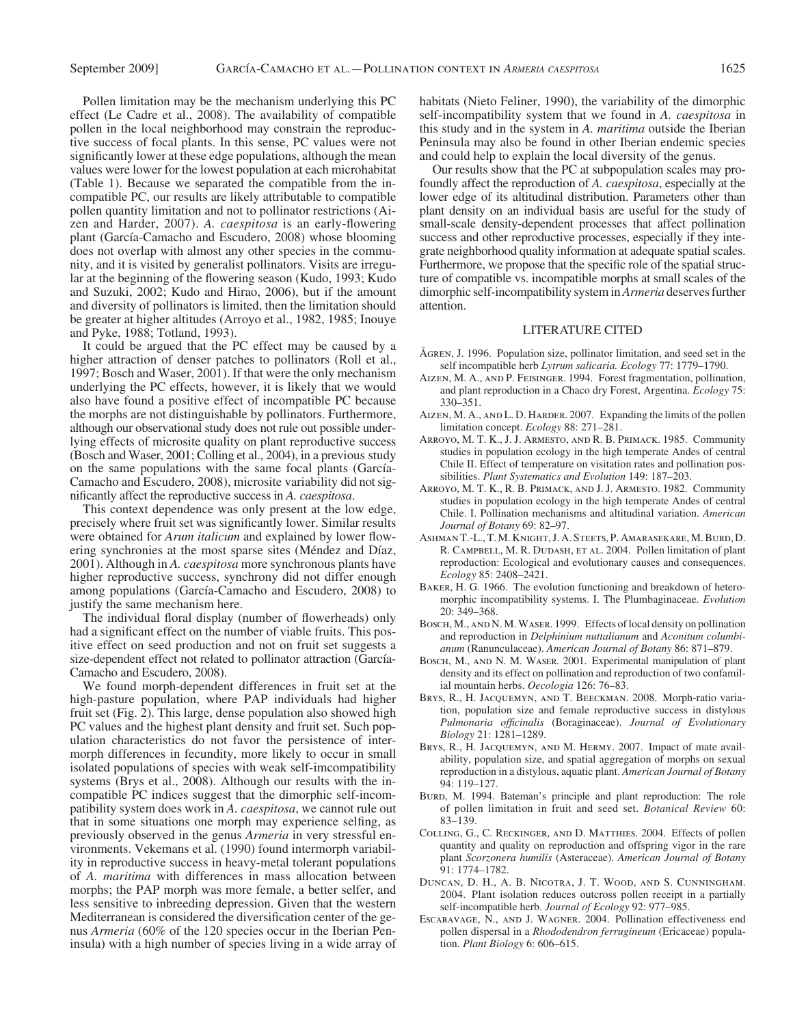Pollen limitation may be the mechanism underlying this PC effect (Le Cadre et al., 2008). The availability of compatible pollen in the local neighborhood may constrain the reproductive success of focal plants. In this sense, PC values were not significantly lower at these edge populations, although the mean values were lower for the lowest population at each microhabitat (Table 1). Because we separated the compatible from the incompatible PC, our results are likely attributable to compatible pollen quantity limitation and not to pollinator restrictions ( Aizen and Harder, 2007). A. *caespitosa* is an early-flowering plant (García-Camacho and Escudero, 2008) whose blooming does not overlap with almost any other species in the community, and it is visited by generalist pollinators. Visits are irregular at the beginning of the flowering season (Kudo, 1993; Kudo and Suzuki, 2002; Kudo and Hirao, 2006), but if the amount and diversity of pollinators is limited, then the limitation should be greater at higher altitudes (Arroyo et al., 1982, 1985; Inouye and Pyke, 1988; Totland, 1993).

 It could be argued that the PC effect may be caused by a higher attraction of denser patches to pollinators (Roll et al., 1997; Bosch and Waser, 2001). If that were the only mechanism underlying the PC effects, however, it is likely that we would also have found a positive effect of incompatible PC because the morphs are not distinguishable by pollinators. Furthermore, although our observational study does not rule out possible underlying effects of microsite quality on plant reproductive success (Bosch and Waser, 2001; Colling et al., 2004), in a previous study on the same populations with the same focal plants (García-Camacho and Escudero, 2008), microsite variability did not significantly affect the reproductive success in *A. caespitosa*.

 This context dependence was only present at the low edge, precisely where fruit set was significantly lower. Similar results were obtained for *Arum italicum* and explained by lower flowering synchronies at the most sparse sites (Méndez and Díaz, 2001 ). Although in *A. caespitosa* more synchronous plants have higher reproductive success, synchrony did not differ enough among populations (García-Camacho and Escudero, 2008) to justify the same mechanism here.

The individual floral display (number of flowerheads) only had a significant effect on the number of viable fruits. This positive effect on seed production and not on fruit set suggests a size-dependent effect not related to pollinator attraction (García-Camacho and Escudero, 2008).

 We found morph-dependent differences in fruit set at the high-pasture population, where PAP individuals had higher fruit set (Fig. 2). This large, dense population also showed high PC values and the highest plant density and fruit set. Such population characteristics do not favor the persistence of intermorph differences in fecundity, more likely to occur in small isolated populations of species with weak self-imcompatibility systems (Brys et al., 2008). Although our results with the incompatible PC indices suggest that the dimorphic self-incompatibility system does work in *A. caespitosa* , we cannot rule out that in some situations one morph may experience selfing, as previously observed in the genus *Armeria* in very stressful environments. Vekemans et al. (1990) found intermorph variability in reproductive success in heavy-metal tolerant populations of *A. maritima* with differences in mass allocation between morphs; the PAP morph was more female, a better selfer, and less sensitive to inbreeding depression. Given that the western Mediterranean is considered the diversification center of the genus *Armeria* (60% of the 120 species occur in the Iberian Peninsula) with a high number of species living in a wide array of habitats (Nieto Feliner, 1990), the variability of the dimorphic self-incompatibility system that we found in *A. caespitosa* in this study and in the system in *A. maritima* outside the Iberian Peninsula may also be found in other Iberian endemic species and could help to explain the local diversity of the genus.

 Our results show that the PC at subpopulation scales may profoundly affect the reproduction of *A. caespitosa* , especially at the lower edge of its altitudinal distribution. Parameters other than plant density on an individual basis are useful for the study of small-scale density-dependent processes that affect pollination success and other reproductive processes, especially if they integrate neighborhood quality information at adequate spatial scales. Furthermore, we propose that the specific role of the spatial structure of compatible vs. incompatible morphs at small scales of the dimorphic self-incompatibility system in *Armeria* deserves further attention.

### LITERATURE CITED

- Å GREN, J. 1996. Population size, pollinator limitation, and seed set in the self incompatible herb *Lytrum salicaria. Ecology* 77: 1779–1790.
- AIZEN, M. A., AND P. FEISINGER. 1994. Forest fragmentation, pollination, and plant reproduction in a Chaco dry Forest, Argentina. *Ecology* 75: 330 – 351.
- AIZEN, M. A., AND L. D. HARDER. 2007. Expanding the limits of the pollen limitation concept. *Ecology* 88: 271-281.
- ARROYO, M. T. K., J. J. ARMESTO, AND R. B. PRIMACK. 1985. Community studies in population ecology in the high temperate Andes of central Chile II. Effect of temperature on visitation rates and pollination possibilities. *Plant Systematics and Evolution* 149: 187-203.
- ARROYO, M. T. K., R. B. PRIMACK, AND J. J. ARMESTO. 1982. Community studies in population ecology in the high temperate Andes of central Chile. I. Pollination mechanisms and altitudinal variation. *American*  Journal of Botany 69: 82-97.
- AshmanT.-L., T. M.Knight, J. A. Steets, P.Amarasekare, M.Burd, D. R. CAMPBELL, M. R. DUDASH, ET AL. 2004. Pollen limitation of plant reproduction: Ecological and evolutionary causes and consequences. *Ecology* 85: 2408-2421.
- BAKER, H. G. 1966. The evolution functioning and breakdown of heteromorphic incompatibility systems. I. The Plumbaginaceae. *Evolution* 20: 349-368.
- BOSCH, M., AND N. M. WASER. 1999. Effects of local density on pollination and reproduction in *Delphinium nuttalianum* and *Aconitum columbi*anum (Ranunculaceae). *American Journal of Botany* 86: 871-879.
- BOSCH, M., AND N. M. WASER. 2001. Experimental manipulation of plant density and its effect on pollination and reproduction of two confamilial mountain herbs. *Oecologia* 126: 76–83.
- BRYS, R., H. JACQUEMYN, AND T. BEECKMAN. 2008. Morph-ratio variation, population size and female reproductive success in distylous *Pulmonaria officinalis* (Boraginaceae). *Journal of Evolutionary Biology* 21: 1281-1289.
- BRYS, R., H. JACQUEMYN, AND M. HERMY. 2007. Impact of mate availability, population size, and spatial aggregation of morphs on sexual reproduction in a distylous, aquatic plant. *American Journal of Botany* 94: 119-127.
- BURD, M. 1994. Bateman's principle and plant reproduction: The role of pollen limitation in fruit and seed set. *Botanical Review* 60:  $83 - 139$ .
- Colling, G., C. Reckinger, and D. Matthies . 2004 . Effects of pollen quantity and quality on reproduction and offspring vigor in the rare plant *Scorzonera humilis* (Asteraceae). *American Journal of Botany* 91: 1774-1782.
- Duncan, D. H., A. B. Nicotra, J. T. Wood, and S. Cunningham . 2004. Plant isolation reduces outcross pollen receipt in a partially self-incompatible herb. *Journal of Ecology* 92: 977-985.
- ESCARAVAGE, N., AND J. WAGNER. 2004. Pollination effectiveness end pollen dispersal in a *Rhododendron ferrugineum* (Ericaceae) population. *Plant Biology* 6: 606–615.